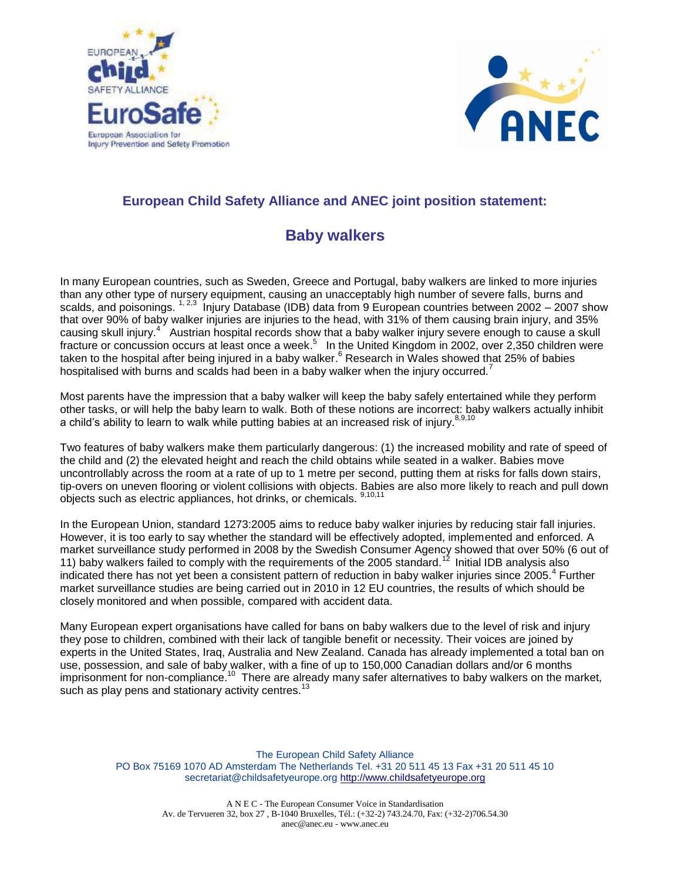



## **European Child Safety Alliance and ANEC joint position statement:**

## **Baby walkers**

In many European countries, such as Sweden, Greece and Portugal, baby walkers are linked to more injuries than any other type of nursery equipment, causing an unacceptably high number of severe falls, burns and scalds, and poisonings.  $1, 2,3$  Injury Database (IDB) data from 9 European countries between 2002 – 2007 show that over 90% of baby walker injuries are injuries to the head, with 31% of them causing brain injury, and 35% causing skull injury.<sup>4</sup> Austrian hospital records show that a baby walker injury severe enough to cause a skull fracture or concussion occurs at least once a week.<sup>5</sup> In the United Kingdom in 2002, over 2,350 children were taken to the hospital after being injured in a baby walker. $^6$  Research in Wales showed that 25% of babies hospitalised with burns and scalds had been in a baby walker when the injury occurred.<sup>7</sup>

Most parents have the impression that a baby walker will keep the baby safely entertained while they perform other tasks, or will help the baby learn to walk. Both of these notions are incorrect: baby walkers actually inhibit a child's ability to learn to walk while putting babies at an increased risk of injury.<sup>8,9,10</sup>

Two features of baby walkers make them particularly dangerous: (1) the increased mobility and rate of speed of the child and (2) the elevated height and reach the child obtains while seated in a walker. Babies move uncontrollably across the room at a rate of up to 1 metre per second, putting them at risks for falls down stairs, tip-overs on uneven flooring or violent collisions with objects. Babies are also more likely to reach and pull down objects such as electric appliances, hot drinks, or chemicals. <sup>9,10,11</sup>

In the European Union, standard 1273:2005 aims to reduce baby walker injuries by reducing stair fall injuries. However, it is too early to say whether the standard will be effectively adopted, implemented and enforced. A market surveillance study performed in 2008 by the Swedish Consumer Agency showed that over 50% (6 out of 11) baby walkers failed to comply with the requirements of the 2005 standard.<sup>12</sup> Initial IDB analysis also indicated there has not yet been a consistent pattern of reduction in baby walker injuries since 2005.<sup>4</sup> Further market surveillance studies are being carried out in 2010 in 12 EU countries, the results of which should be closely monitored and when possible, compared with accident data.

Many European expert organisations have called for bans on baby walkers due to the level of risk and injury they pose to children, combined with their lack of tangible benefit or necessity. Their voices are joined by experts in the United States, Iraq, Australia and New Zealand. Canada has already implemented a total ban on use, possession, and sale of baby walker, with a fine of up to 150,000 Canadian dollars and/or 6 months imprisonment for non-compliance.<sup>10</sup> There are already many safer alternatives to baby walkers on the market, such as play pens and stationary activity centres.<sup>13</sup>

> The European Child Safety Alliance PO Box 75169 1070 AD Amsterdam The Netherlands Tel. +31 20 511 45 13 Fax +31 20 511 45 10 secretariat@childsafetyeurope.org http://www.childsafetyeurope.org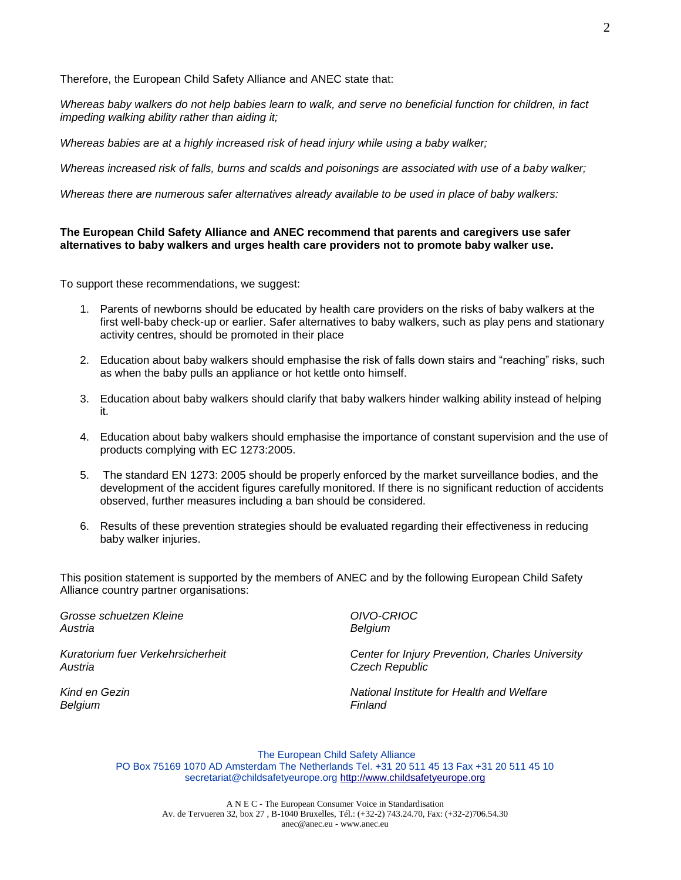Therefore, the European Child Safety Alliance and ANEC state that:

*Whereas baby walkers do not help babies learn to walk, and serve no beneficial function for children, in fact impeding walking ability rather than aiding it;*

*Whereas babies are at a highly increased risk of head injury while using a baby walker;*

*Whereas increased risk of falls, burns and scalds and poisonings are associated with use of a baby walker;*

*Whereas there are numerous safer alternatives already available to be used in place of baby walkers:*

## **The European Child Safety Alliance and ANEC recommend that parents and caregivers use safer alternatives to baby walkers and urges health care providers not to promote baby walker use.**

To support these recommendations, we suggest:

- 1. Parents of newborns should be educated by health care providers on the risks of baby walkers at the first well-baby check-up or earlier. Safer alternatives to baby walkers, such as play pens and stationary activity centres, should be promoted in their place
- 2. Education about baby walkers should emphasise the risk of falls down stairs and "reaching" risks, such as when the baby pulls an appliance or hot kettle onto himself.
- 3. Education about baby walkers should clarify that baby walkers hinder walking ability instead of helping it.
- 4. Education about baby walkers should emphasise the importance of constant supervision and the use of products complying with EC 1273:2005.
- 5. The standard EN 1273: 2005 should be properly enforced by the market surveillance bodies, and the development of the accident figures carefully monitored. If there is no significant reduction of accidents observed, further measures including a ban should be considered.
- 6. Results of these prevention strategies should be evaluated regarding their effectiveness in reducing baby walker injuries.

This position statement is supported by the members of ANEC and by the following European Child Safety Alliance country partner organisations:

*Grosse schuetzen Kleine Austria*

*Kuratorium fuer Verkehrsicherheit Austria*

*Kind en Gezin Belgium*

*OIVO-CRIOC Belgium*

*Center for Injury Prevention, Charles University Czech Republic*

*National Institute for Health and Welfare Finland*

The European Child Safety Alliance PO Box 75169 1070 AD Amsterdam The Netherlands Tel. +31 20 511 45 13 Fax +31 20 511 45 10 secretariat@childsafetyeurope.org http://www.childsafetyeurope.org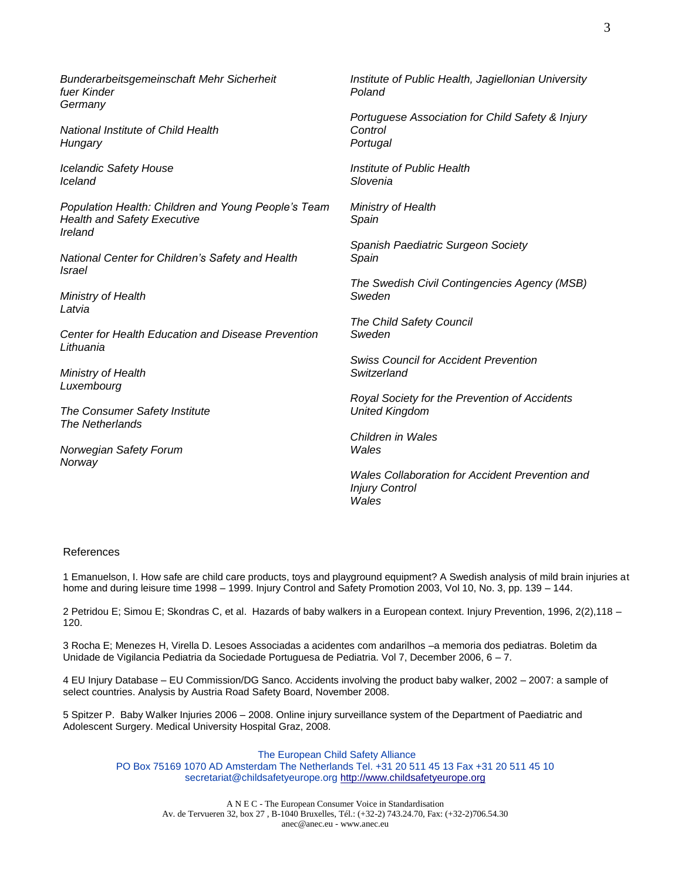*Bunderarbeitsgemeinschaft Mehr Sicherheit fuer Kinder Germany*

*National Institute of Child Health Hungary*

*Icelandic Safety House Iceland*

*Population Health: Children and Young People's Team Health and Safety Executive Ireland*

*National Center for Children's Safety and Health Israel*

*Ministry of Health Latvia*

*Center for Health Education and Disease Prevention Lithuania*

*Ministry of Health Luxembourg*

*The Consumer Safety Institute The Netherlands*

*Norwegian Safety Forum Norway*

*Institute of Public Health, Jagiellonian University Poland*

*Portuguese Association for Child Safety & Injury Control Portugal*

*Institute of Public Health Slovenia*

*Ministry of Health Spain*

*Spanish Paediatric Surgeon Society Spain*

*The Swedish Civil Contingencies Agency (MSB) Sweden*

*The Child Safety Council Sweden*

*Swiss Council for Accident Prevention Switzerland*

*Royal Society for the Prevention of Accidents United Kingdom*

*Children in Wales Wales*

*Wales Collaboration for Accident Prevention and Injury Control Wales*

## References

1 Emanuelson, I. How safe are child care products, toys and playground equipment? A Swedish analysis of mild brain injuries at home and during leisure time 1998 – 1999. Injury Control and Safety Promotion 2003, Vol 10, No. 3, pp. 139 – 144.

2 Petridou E; Simou E; Skondras C, et al. Hazards of baby walkers in a European context. Injury Prevention, 1996, 2(2),118 – 120.

3 Rocha E; Menezes H, Virella D. Lesoes Associadas a acidentes com andarilhos –a memoria dos pediatras. Boletim da Unidade de Vigilancia Pediatria da Sociedade Portuguesa de Pediatria. Vol 7, December 2006, 6 – 7.

4 EU Injury Database – EU Commission/DG Sanco. Accidents involving the product baby walker, 2002 – 2007: a sample of select countries. Analysis by Austria Road Safety Board, November 2008.

5 Spitzer P. Baby Walker Injuries 2006 – 2008. Online injury surveillance system of the Department of Paediatric and Adolescent Surgery. Medical University Hospital Graz, 2008.

The European Child Safety Alliance PO Box 75169 1070 AD Amsterdam The Netherlands Tel. +31 20 511 45 13 Fax +31 20 511 45 10 secretariat@childsafetyeurope.org http://www.childsafetyeurope.org